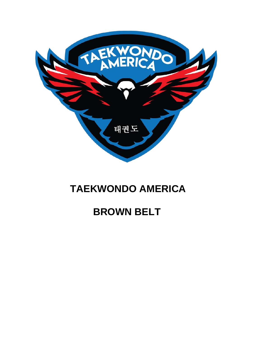

## **TAEKWONDO AMERICA**

## **BROWN BELT**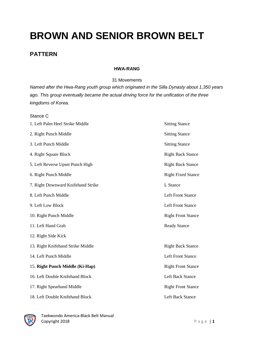# **BROWN AND SENIOR BROWN BELT**

### **PATTERN**

#### **HWA-RANG**

31 Movements

*Named after the Hwa-Rang youth group which originated in the Silla Dynasty about 1,350 years ago. This group eventually became the actual driving force for the unification of the three kingdoms of Korea.*

| Stance C                           |                           |
|------------------------------------|---------------------------|
| 1. Left Palm Heel Strike Middle    | <b>Sitting Stance</b>     |
| 2. Right Punch Middle              | <b>Sitting Stance</b>     |
| 3. Left Punch Middle               | <b>Sitting Stance</b>     |
| 4. Right Square Block              | <b>Right Back Stance</b>  |
| 5. Left Reverse Upset Punch High   | <b>Right Back Stance</b>  |
| 6. Right Punch Middle              | <b>Right Fixed Stance</b> |
| 7. Right Downward Knifehand Strike | L Stance                  |
| 8. Left Punch Middle               | <b>Left Front Stance</b>  |
| 9. Left Low Block                  | <b>Left Front Stance</b>  |
| 10. Right Punch Middle             | <b>Right Front Stance</b> |
| 11. Left Hand Grab                 | <b>Ready Stance</b>       |
| 12. Right Side Kick                |                           |
| 13. Right Knifehand Strike Middle  | <b>Right Back Stance</b>  |
| 14. Left Punch Middle              | <b>Left Front Stance</b>  |
| 15. Right Punch Middle (Ki-Hap)    | <b>Right Front Stance</b> |
| 16. Left Double Knifehand Block    | <b>Left Back Stance</b>   |
| 17. Right Spearhand Middle         | <b>Right Front Stance</b> |
| 18. Left Double Knifehand Block    | <b>Left Back Stance</b>   |

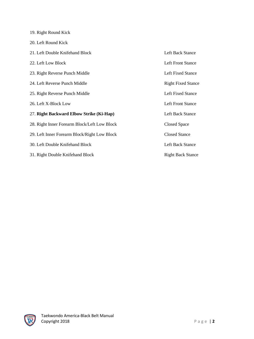| 19. Right Round Kick                         |                           |
|----------------------------------------------|---------------------------|
| 20. Left Round Kick                          |                           |
| 21. Left Double Knifehand Block              | Left Back Stance          |
| 22. Left Low Block                           | <b>Left Front Stance</b>  |
| 23. Right Reverse Punch Middle               | Left Fixed Stance         |
| 24. Left Reverse Punch Middle                | <b>Right Fixed Stance</b> |
| 25. Right Reverse Punch Middle               | Left Fixed Stance         |
| 26. Left X-Block Low                         | <b>Left Front Stance</b>  |
| 27. Right Backward Elbow Strike (Ki-Hap)     | Left Back Stance          |
| 28. Right Inner Forearm Block/Left Low Block | Closed Space              |
| 29. Left Inner Forearm Block/Right Low Block | <b>Closed Stance</b>      |
| 30. Left Double Knifehand Block              | Left Back Stance          |
| 31. Right Double Knifehand Block             | <b>Right Back Stance</b>  |

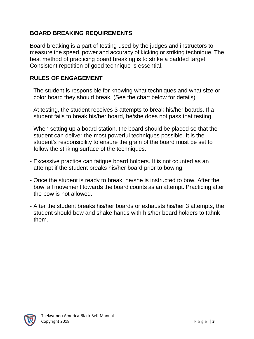## **BOARD BREAKING REQUIREMENTS**

Board breaking is a part of testing used by the judges and instructors to measure the speed, power and accuracy of kicking or striking technique. The best method of practicing board breaking is to strike a padded target. Consistent repetition of good technique is essential.

### **RULES OF ENGAGEMENT**

- The student is responsible for knowing what techniques and what size or color board they should break. (See the chart below for details)
- At testing, the student receives 3 attempts to break his/her boards. If a student fails to break his/her board, he/she does not pass that testing.
- When setting up a board station, the board should be placed so that the student can deliver the most powerful techniques possible. It is the student's responsibility to ensure the grain of the board must be set to follow the striking surface of the techniques.
- Excessive practice can fatigue board holders. It is not counted as an attempt if the student breaks his/her board prior to bowing.
- Once the student is ready to break, he/she is instructed to bow. After the bow, all movement towards the board counts as an attempt. Practicing after the bow is not allowed.
- After the student breaks his/her boards or exhausts his/her 3 attempts, the student should bow and shake hands with his/her board holders to tahnk them.